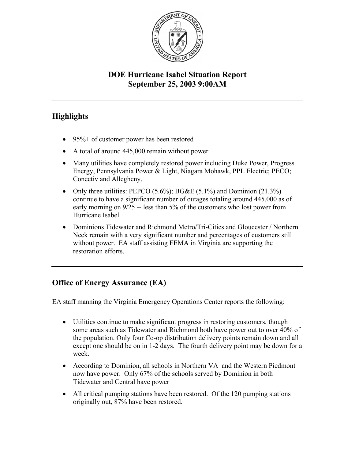

## **DOE Hurricane Isabel Situation Report September 25, 2003 9:00AM**

# **Highlights**

- 95%+ of customer power has been restored
- A total of around 445,000 remain without power
- Many utilities have completely restored power including Duke Power, Progress Energy, Pennsylvania Power & Light, Niagara Mohawk, PPL Electric; PECO; Conectiv and Allegheny.
- Only three utilities: PEPCO  $(5.6\%)$ ; BG&E  $(5.1\%)$  and Dominion  $(21.3\%)$ continue to have a significant number of outages totaling around 445,000 as of early morning on 9/25 -- less than 5% of the customers who lost power from Hurricane Isabel.
- Dominions Tidewater and Richmond Metro/Tri-Cities and Gloucester / Northern Neck remain with a very significant number and percentages of customers still without power. EA staff assisting FEMA in Virginia are supporting the restoration efforts.

## **Office of Energy Assurance (EA)**

EA staff manning the Virginia Emergency Operations Center reports the following:

- Utilities continue to make significant progress in restoring customers, though some areas such as Tidewater and Richmond both have power out to over 40% of the population. Only four Co-op distribution delivery points remain down and all except one should be on in 1-2 days. The fourth delivery point may be down for a week.
- According to Dominion, all schools in Northern VA and the Western Piedmont now have power. Only 67% of the schools served by Dominion in both Tidewater and Central have power
- All critical pumping stations have been restored. Of the 120 pumping stations originally out, 87% have been restored.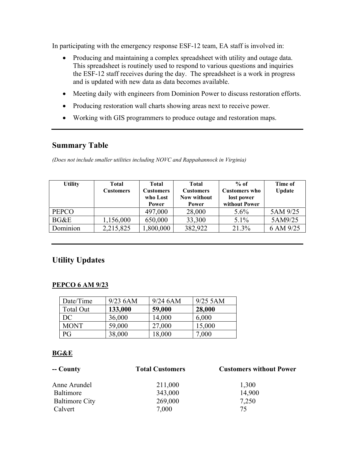In participating with the emergency response ESF-12 team, EA staff is involved in:

- Producing and maintaining a complex spreadsheet with utility and outage data. This spreadsheet is routinely used to respond to various questions and inquiries the ESF-12 staff receives during the day. The spreadsheet is a work in progress and is updated with new data as data becomes available.
- Meeting daily with engineers from Dominion Power to discuss restoration efforts.
- Producing restoration wall charts showing areas next to receive power.
- Working with GIS programmers to produce outage and restoration maps.

### **Summary Table**

*(Does not include smaller utilities including NOVC and Rappahannock in Virginia)* 

| <b>Utility</b> | Total<br><b>Customers</b> | <b>Total</b><br><b>Customers</b><br>who Lost<br>Power | <b>Total</b><br><b>Customers</b><br><b>Now without</b><br>Power | $%$ of<br><b>Customers who</b><br>lost power<br>without Power | Time of<br><b>Update</b> |
|----------------|---------------------------|-------------------------------------------------------|-----------------------------------------------------------------|---------------------------------------------------------------|--------------------------|
| <b>PEPCO</b>   |                           | 497,000                                               | 28,000                                                          | $5.6\%$                                                       | 5AM 9/25                 |
| BG&E           | 1,156,000                 | 650,000                                               | 33,300                                                          | 5.1%                                                          | 5AM9/25                  |
| Dominion       | 2,215,825                 | 1,800,000                                             | 382,922                                                         | 21.3%                                                         | 6 AM 9/25                |

## **Utility Updates**

#### **PEPCO 6 AM 9/23**

| Date/Time   | $9/23$ 6AM | $9/24$ 6AM | $9/25$ 5AM |
|-------------|------------|------------|------------|
| Total Out   | 133,000    | 59,000     | 28,000     |
| DC          | 36,000     | 14,000     | 6,000      |
| <b>MONT</b> | 59,000     | 27,000     | 15,000     |
| P G         | 38,000     | 18,000     | 7,000      |

#### **BG&E**

| -- County             | <b>Total Customers</b> | <b>Customers without Power</b> |  |
|-----------------------|------------------------|--------------------------------|--|
| Anne Arundel          | 211,000                | 1,300                          |  |
| Baltimore             | 343,000                | 14,900                         |  |
| <b>Baltimore City</b> | 269,000                | 7,250                          |  |
| Calvert               | 7,000                  | 75                             |  |